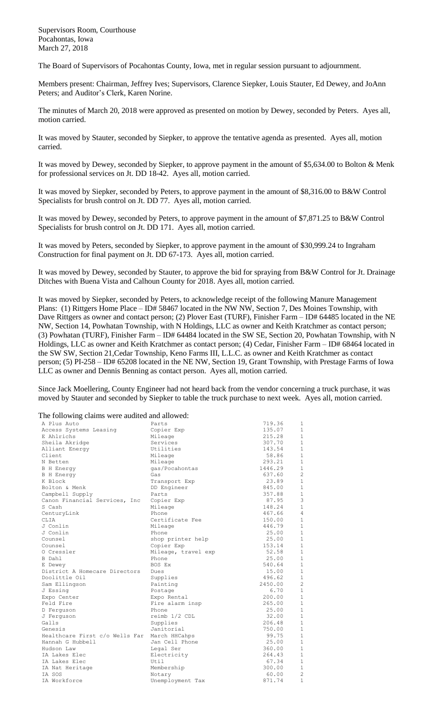Supervisors Room, Courthouse Pocahontas, Iowa March 27, 2018

The Board of Supervisors of Pocahontas County, Iowa, met in regular session pursuant to adjournment.

Members present: Chairman, Jeffrey Ives; Supervisors, Clarence Siepker, Louis Stauter, Ed Dewey, and JoAnn Peters; and Auditor's Clerk, Karen Norine.

The minutes of March 20, 2018 were approved as presented on motion by Dewey, seconded by Peters. Ayes all, motion carried.

It was moved by Stauter, seconded by Siepker, to approve the tentative agenda as presented. Ayes all, motion carried.

It was moved by Dewey, seconded by Siepker, to approve payment in the amount of \$5,634.00 to Bolton & Menk for professional services on Jt. DD 18-42. Ayes all, motion carried.

It was moved by Siepker, seconded by Peters, to approve payment in the amount of \$8,316.00 to B&W Control Specialists for brush control on Jt. DD 77. Ayes all, motion carried.

It was moved by Dewey, seconded by Peters, to approve payment in the amount of \$7,871.25 to B&W Control Specialists for brush control on Jt. DD 171. Ayes all, motion carried.

It was moved by Peters, seconded by Siepker, to approve payment in the amount of \$30,999.24 to Ingraham Construction for final payment on Jt. DD 67-173. Ayes all, motion carried.

It was moved by Dewey, seconded by Stauter, to approve the bid for spraying from B&W Control for Jt. Drainage Ditches with Buena Vista and Calhoun County for 2018. Ayes all, motion carried.

It was moved by Siepker, seconded by Peters, to acknowledge receipt of the following Manure Management Plans: (1) Rittgers Home Place – ID# 58467 located in the NW NW, Section 7, Des Moines Township, with Dave Rittgers as owner and contact person; (2) Plover East (TURF), Finisher Farm – ID# 64485 located in the NE NW, Section 14, Powhatan Township, with N Holdings, LLC as owner and Keith Kratchmer as contact person; (3) Powhatan (TURF), Finisher Farm – ID# 64484 located in the SW SE, Section 20, Powhatan Township, with N Holdings, LLC as owner and Keith Kratchmer as contact person; (4) Cedar, Finisher Farm – ID# 68464 located in the SW SW, Section 21,Cedar Township, Keno Farms III, L.L.C. as owner and Keith Kratchmer as contact person; (5) PI-258 – ID# 65208 located in the NE NW, Section 19, Grant Township, with Prestage Farms of Iowa LLC as owner and Dennis Benning as contact person. Ayes all, motion carried.

Since Jack Moellering, County Engineer had not heard back from the vendor concerning a truck purchase, it was moved by Stauter and seconded by Siepker to table the truck purchase to next week. Ayes all, motion carried.

The following claims were audited and allowed:

| A Plus Auto                    | Parts               | 719.36  | 1              |
|--------------------------------|---------------------|---------|----------------|
| Access Systems Leasing         | Copier Exp          | 135.07  | $\mathbf{1}$   |
| E Ahlrichs                     | Mileage             | 215.28  | $\mathbf{1}$   |
| Sheila Akridge                 | Services            | 307.70  | $1\,$          |
| Alliant Energy                 | Utilities           | 143.54  | $\mathbf{1}$   |
| Client                         | Mileage             | 58.86   | $\mathbf{1}$   |
| N Betten                       | Mileage             | 293.21  | $\mathbf{1}$   |
| <b>B</b> H Energy              | qas/Pocahontas      | 1446.29 | $\mathbf{1}$   |
| <b>B</b> H Energy              | Gas                 | 637.60  | $\overline{c}$ |
| K Block                        | Transport Exp       | 23.89   | $\mathbf{1}$   |
| Bolton & Menk                  | DD Engineer         | 845.00  | $\mathbf{1}$   |
| Campbell Supply                | Parts               | 357.88  | $\mathbf{1}$   |
| Canon Financial Services, Inc. | Copier Exp          | 87.95   | 3              |
| S Cash                         | Mileage             | 148.24  | $1\,$          |
| CenturyLink                    | Phone               | 467.66  | $\overline{4}$ |
| CLIA                           | Certificate Fee     | 150.00  | $1\,$          |
| J Conlin                       | Mileage             | 446.79  | $\mathbf{1}$   |
| J Conlin                       | Phone               | 25.00   | $\mathbf{1}$   |
| Counsel                        | shop printer help   | 25.00   | $\mathbf{1}$   |
| Counsel                        | Copier Exp          | 153.14  | $1\,$          |
| 0 Cressler                     | Mileage, travel exp | 52.58   | $1\,$          |
| B Dahl                         | Phone               | 25.00   | $\mathbf{1}$   |
| E Dewey                        | BOS Ex              | 540.64  | $\mathbf{1}$   |
| District A Homecare Directors  | Dues                | 15.00   | $\mathbf{1}$   |
| Doolittle Oil                  | Supplies            | 496.62  | $\mathbf{1}$   |
| Sam Ellingson                  | Painting            | 2450.00 | $\overline{c}$ |
| J Essing                       | Postage             | 6.70    | $\mathbf{1}$   |
| Expo Center                    | Expo Rental         | 200.00  | $\mathbf{1}$   |
| Feld Fire                      | Fire alarm insp     | 265.00  | $\mathbf{1}$   |
| D Ferguson                     | Phone               | 25.00   | $\mathbf{1}$   |
| J Ferguson                     | reimb 1/2 CDL       | 32.00   | $\mathbf{1}$   |
| Galls                          | Supplies            | 206.48  | $1\,$          |
| Genesis                        | Janitorial          | 750.00  | $\mathbf{1}$   |
| Healthcare First c/o Wells Far | March HHCahps       | 99.75   | $\mathbf{1}$   |
| Hannah G Hubbell               | Jan Cell Phone      | 25.00   | $\mathbf{1}$   |
| Hudson Law                     | Legal Ser           | 360.00  | $1\,$          |
| IA Lakes Elec                  | Electricity         | 264.43  | $\mathbf{1}$   |
| IA Lakes Elec                  | Util                | 67.34   | $\mathbf{1}$   |
| IA Nat Heritage                | Membership          | 300.00  | $1\,$          |
| IA SOS                         | Notary              | 60.00   | $\overline{c}$ |
| IA Workforce                   | Unemployment Tax    | 871.74  | $\mathbf{1}$   |
|                                |                     |         |                |